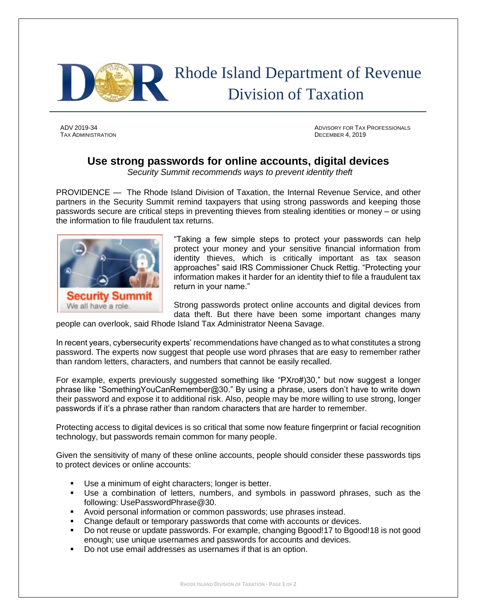

## Rhode Island Department of Revenue Division of Taxation

TAX ADMINISTRATION DECEMBER 4, 2019

ADV 2019-34 ADVISORY FOR TAX PROFESSIONALS

## **Use strong passwords for online accounts, digital devices**

*Security Summit recommends ways to prevent identity theft*

PROVIDENCE — The Rhode Island Division of Taxation, the Internal Revenue Service, and other partners in the Security Summit remind taxpayers that using strong passwords and keeping those passwords secure are critical steps in preventing thieves from stealing identities or money – or using the information to file fraudulent tax returns.



"Taking a few simple steps to protect your passwords can help protect your money and your sensitive financial information from identity thieves, which is critically important as tax season approaches" said IRS Commissioner Chuck Rettig. "Protecting your information makes it harder for an identity thief to file a fraudulent tax return in your name."

Strong passwords protect online accounts and digital devices from data theft. But there have been some important changes many

people can overlook, said Rhode Island Tax Administrator Neena Savage.

In recent years, cybersecurity experts' recommendations have changed as to what constitutes a strong password. The experts now suggest that people use word phrases that are easy to remember rather than random letters, characters, and numbers that cannot be easily recalled.

For example, experts previously suggested something like "PXro#)30," but now suggest a longer phrase like "SomethingYouCanRemember@30." By using a phrase, users don't have to write down their password and expose it to additional risk. Also, people may be more willing to use strong, longer passwords if it's a phrase rather than random characters that are harder to remember.

Protecting access to digital devices is so critical that some now feature fingerprint or facial recognition technology, but passwords remain common for many people.

Given the sensitivity of many of these online accounts, people should consider these passwords tips to protect devices or online accounts:

- Use a minimum of eight characters; longer is better.
- Use a combination of letters, numbers, and symbols in password phrases, such as the following: UsePasswordPhrase@30.
- Avoid personal information or common passwords; use phrases instead.
- Change default or temporary passwords that come with accounts or devices.
- Do not reuse or update passwords. For example, changing Bgood!17 to Bgood!18 is not good enough; use unique usernames and passwords for accounts and devices.
- Do not use email addresses as usernames if that is an option.